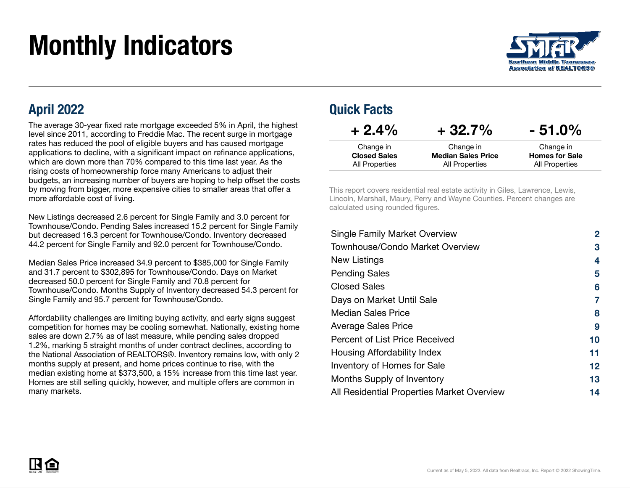# Monthly Indicators



#### April 2022

The average 30-year fixed rate mortgage exceeded 5% in April, the highest level since 2011, according to Freddie Mac. The recent surge in mortgage rates has reduced the pool of eligible buyers and has caused mortgage applications to decline, with a significant impact on refinance applications, which are down more than 70% compared to this time last year. As the rising costs of homeownership force many Americans to adjust their budgets, an increasing number of buyers are hoping to help offset the costs by moving from bigger, more expensive cities to smaller areas that offer a more affordable cost of living.

New Listings decreased 2.6 percent for Single Family and 3.0 percent for Townhouse/Condo. Pending Sales increased 15.2 percent for Single Family but decreased 16.3 percent for Townhouse/Condo. Inventory decreased 44.2 percent for Single Family and 92.0 percent for Townhouse/Condo.

Median Sales Price increased 34.9 percent to \$385,000 for Single Family and 31.7 percent to \$302,895 for Townhouse/Condo. Days on Market decreased 50.0 percent for Single Family and 70.8 percent for Townhouse/Condo. Months Supply of Inventory decreased 54.3 percent for Single Family and 95.7 percent for Townhouse/Condo.

Affordability challenges are limiting buying activity, and early signs suggest competition for homes may be cooling somewhat. Nationally, existing home sales are down 2.7% as of last measure, while pending sales dropped 1.2%, marking 5 straight months of under contract declines, according to the National Association of REALTORS®. Inventory remains low, with only 2 months supply at present, and home prices continue to rise, with the median existing home at \$373,500, a 15% increase from this time last year. Homes are still selling quickly, however, and multiple offers are common in many markets.

#### Quick Facts

| $+2.4%$             | $+32.7%$                  | $-51.0\%$             |
|---------------------|---------------------------|-----------------------|
| Change in           | Change in                 | Change in             |
| <b>Closed Sales</b> | <b>Median Sales Price</b> | <b>Homes for Sale</b> |
| All Properties      | All Properties            | All Properties        |

This report covers residential real estate activity in Giles, Lawrence, Lewis, Lincoln, Marshall, Maury, Perry and Wayne Counties. Percent changes are calculated using rounded figures.

| <b>Single Family Market Overview</b>       | 2  |
|--------------------------------------------|----|
| <b>Townhouse/Condo Market Overview</b>     | 3  |
| New Listings                               | 4  |
| <b>Pending Sales</b>                       | 5  |
| <b>Closed Sales</b>                        | 6  |
| Days on Market Until Sale                  | 7  |
| <b>Median Sales Price</b>                  | 8  |
| <b>Average Sales Price</b>                 | 9  |
| Percent of List Price Received             | 10 |
| Housing Affordability Index                | 11 |
| Inventory of Homes for Sale                | 12 |
| Months Supply of Inventory                 | 13 |
| All Residential Properties Market Overview | 14 |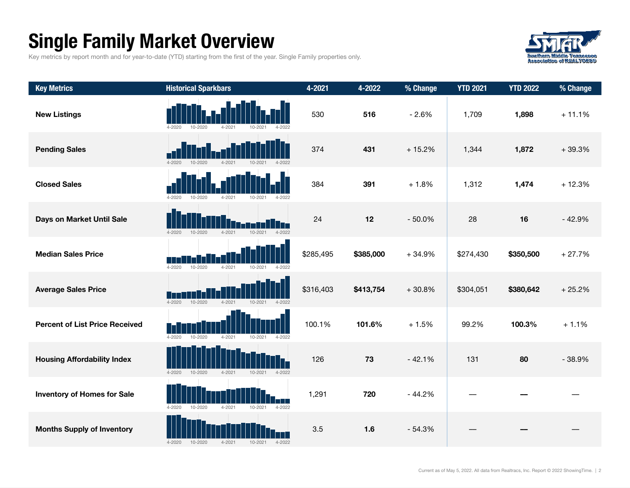### Single Family Market Overview

Key metrics by report month and for year-to-date (YTD) starting from the first of the year. Single Family properties only.



| <b>Key Metrics</b>                    | <b>Historical Sparkbars</b>                                          | $4 - 2021$ | 4-2022    | % Change | <b>YTD 2021</b> | <b>YTD 2022</b> | % Change |
|---------------------------------------|----------------------------------------------------------------------|------------|-----------|----------|-----------------|-----------------|----------|
| <b>New Listings</b>                   | $4 - 2020$<br>10-2020<br>4-2021<br>10-2021<br>4-2022                 | 530        | 516       | $-2.6%$  | 1,709           | 1,898           | $+11.1%$ |
| <b>Pending Sales</b>                  | $10 - 2020$<br>$4 - 2020$<br>$4 - 2021$<br>$10 - 2021$<br>$4 - 2022$ | 374        | 431       | $+15.2%$ | 1,344           | 1,872           | $+39.3%$ |
| <b>Closed Sales</b>                   | $10 - 2020$<br>$4 - 2020$<br>4-2021<br>10-2021<br>$4 - 2022$         | 384        | 391       | $+1.8%$  | 1,312           | 1,474           | $+12.3%$ |
| Days on Market Until Sale             | $4 - 2022$<br>$4 - 2021$<br>$10 - 2021$<br>4-2020<br>10-2020         | 24         | 12        | $-50.0%$ | 28              | 16              | $-42.9%$ |
| <b>Median Sales Price</b>             | $4 - 2020$<br>10-2020<br>$4 - 2021$<br>10-2021<br>$4 - 2022$         | \$285,495  | \$385,000 | $+34.9%$ | \$274,430       | \$350,500       | $+27.7%$ |
| <b>Average Sales Price</b>            | $10 - 2020$<br>$4 - 2021$<br>$10 - 2021$<br>4-2020<br>4-2022         | \$316,403  | \$413,754 | $+30.8%$ | \$304,051       | \$380,642       | $+25.2%$ |
| <b>Percent of List Price Received</b> | $4 - 2020$<br>$10 - 2020$<br>$4 - 2021$<br>10-2021<br>$4 - 2022$     | 100.1%     | 101.6%    | $+1.5%$  | 99.2%           | 100.3%          | $+1.1%$  |
| <b>Housing Affordability Index</b>    | $4 - 2020$<br>10-2020<br>$4 - 2021$<br>$10 - 2021$<br>$4 - 2022$     | 126        | 73        | $-42.1%$ | 131             | 80              | $-38.9%$ |
| <b>Inventory of Homes for Sale</b>    | $10 - 2020$<br>$4 - 2021$<br>$4 - 2020$<br>10-2021<br>$4 - 2022$     | 1,291      | 720       | $-44.2%$ |                 |                 |          |
| <b>Months Supply of Inventory</b>     | $4 - 2020$<br>$10 - 2020$<br>$4 - 2021$<br>$10 - 2021$<br>$4 - 2022$ | 3.5        | 1.6       | $-54.3%$ |                 |                 |          |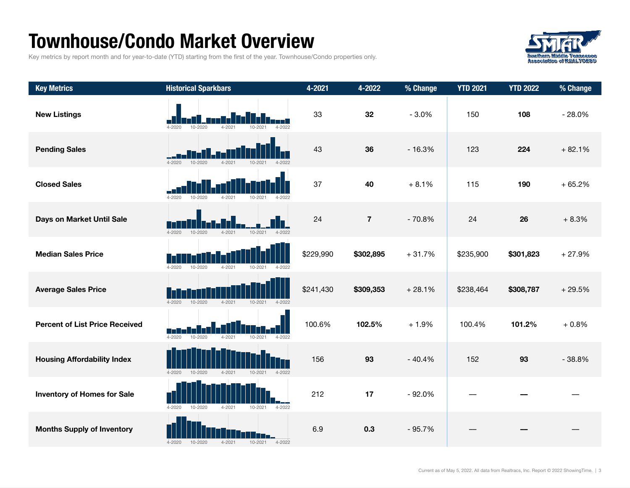#### Townhouse/Condo Market Overview

Key metrics by report month and for year-to-date (YTD) starting from the first of the year. Townhouse/Condo properties only.



| <b>Key Metrics</b>                    | <b>Historical Sparkbars</b>                                          | 4-2021    | 4-2022         | % Change | <b>YTD 2021</b> | <b>YTD 2022</b> | % Change |
|---------------------------------------|----------------------------------------------------------------------|-----------|----------------|----------|-----------------|-----------------|----------|
| <b>New Listings</b>                   | $4 - 2020$<br>$10 - 2020$<br>$4 - 2022$<br>$4 - 2021$<br>10-2021     | 33        | 32             | $-3.0%$  | 150             | 108             | $-28.0%$ |
| <b>Pending Sales</b>                  | $4 - 2020$<br>10-2020<br>$4 - 2021$<br>$10 - 2021$<br>$4 - 2022$     | 43        | 36             | $-16.3%$ | 123             | 224             | $+82.1%$ |
| <b>Closed Sales</b>                   | $4 - 2020$<br>10-2020<br>10-2021<br>4-2022<br>$4 - 2021$             | 37        | 40             | $+8.1%$  | 115             | 190             | $+65.2%$ |
| Days on Market Until Sale             | $4 - 2021$<br>$4 - 2020$<br>$10 - 2020$<br>$10 - 2021$<br>$4 - 2022$ | 24        | $\overline{7}$ | $-70.8%$ | 24              | 26              | $+8.3%$  |
| <b>Median Sales Price</b>             | $4 - 2020$<br>$4 - 2021$<br>$10 - 2021$<br>10-2020<br>4-2022         | \$229,990 | \$302,895      | $+31.7%$ | \$235,900       | \$301,823       | $+27.9%$ |
| <b>Average Sales Price</b>            | $4 - 2020$<br>10-2020<br>4-2021<br>10-2021<br>4-2022                 | \$241,430 | \$309,353      | $+28.1%$ | \$238,464       | \$308,787       | $+29.5%$ |
| <b>Percent of List Price Received</b> | $4 - 2020$<br>10-2020<br>$4 - 2021$<br>10-2021<br>$4 - 2022$         | 100.6%    | 102.5%         | $+1.9%$  | 100.4%          | 101.2%          | $+0.8%$  |
| <b>Housing Affordability Index</b>    | 10-2020<br>$4 - 2021$<br>$10 - 2021$<br>$4 - 2022$<br>$4 - 2020$     | 156       | 93             | $-40.4%$ | 152             | 93              | $-38.8%$ |
| <b>Inventory of Homes for Sale</b>    | $4 - 2020$<br>$10 - 2020$<br>$4 - 2021$<br>10-2021<br>$4 - 2022$     | 212       | 17             | $-92.0%$ |                 |                 |          |
| <b>Months Supply of Inventory</b>     | $4 - 2022$<br>$4 - 2020$<br>$10 - 2020$<br>$4 - 2021$<br>10-2021     | 6.9       | 0.3            | $-95.7%$ |                 |                 |          |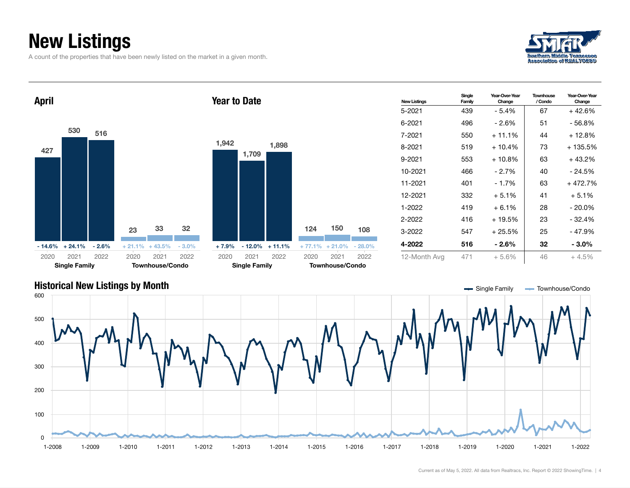### New Listings

A count of the properties that have been newly listed on the market in a given month.





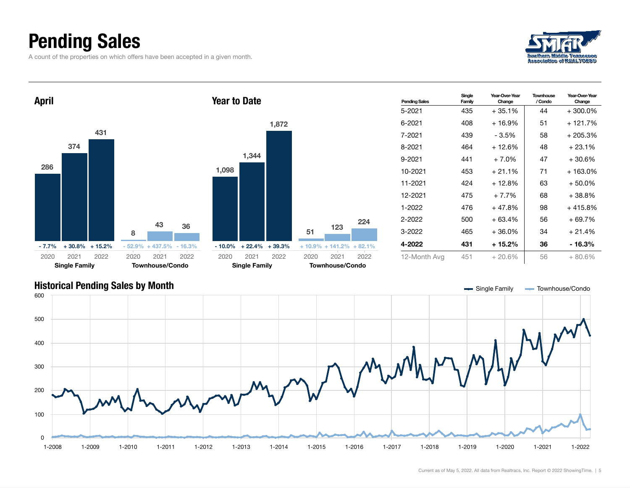### Pending Sales

A count of the properties on which offers have been accepted in a given month.







Current as of May 5, 2022. All data from Realtracs, Inc. Report © 2022 ShowingTime. | 5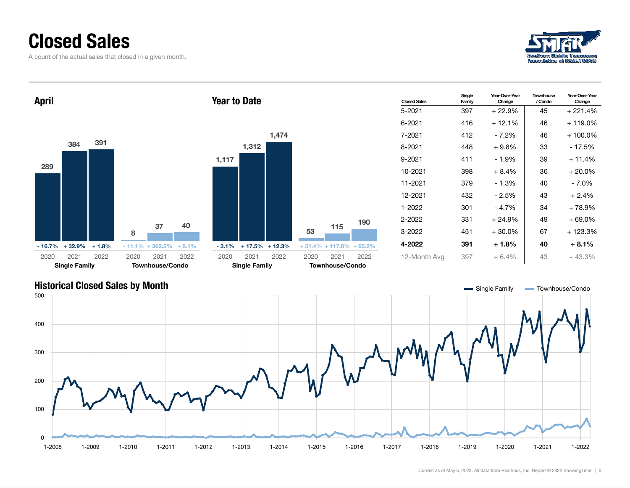#### Closed Sales

A count of the actual sales that closed in a given month.





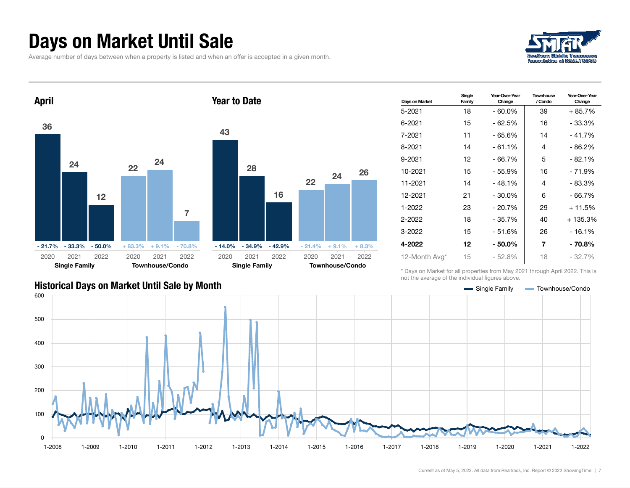#### Days on Market Until Sale

Average number of days between when a property is listed and when an offer is accepted in a given month.





| Days on Market | Single<br>Family | Year-Over-Year<br>Change | <b>Townhouse</b><br>/ Condo | Year-Over-Year<br>Change |
|----------------|------------------|--------------------------|-----------------------------|--------------------------|
| 5-2021         | 18               | - 60.0%                  | 39                          | $+85.7%$                 |
| 6-2021         | 15               | - 62.5%                  | 16                          | - 33.3%                  |
| 7-2021         | 11               | - 65.6%                  | 14                          | - 41.7%                  |
| 8-2021         | 14               | - 61.1%                  | 4                           | - 86.2%                  |
| 9-2021         | 12               | - 66.7%                  | 5                           | $-82.1%$                 |
| 10-2021        | 15               | $-55.9%$                 | 16                          | - 71.9%                  |
| 11-2021        | 14               | $-48.1%$                 | 4                           | - 83.3%                  |
| 12-2021        | 21               | $-30.0%$                 | 6                           | - 66.7%                  |
| 1-2022         | 23               | $-20.7%$                 | 29                          | $+11.5%$                 |
| 2-2022         | 18               | - 35.7%                  | 40                          | + 135.3%                 |
| 3-2022         | 15               | - 51.6%                  | 26                          | - 16.1%                  |
| 4-2022         | 12               | - 50.0%                  | 7                           | $-70.8%$                 |
| 12-Month Avg*  | 15               | $-52.8%$                 | 18                          | - 32.7%                  |

\* Days on Market for all properties from May 2021 through April 2022. This is not the average of the individual figures above.

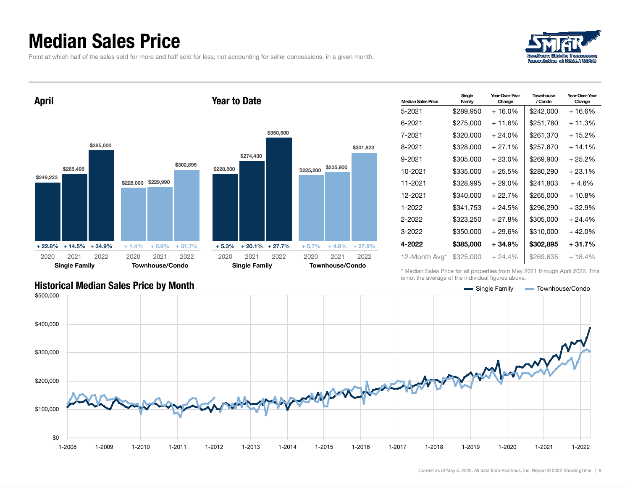#### Median Sales Price

Point at which half of the sales sold for more and half sold for less, not accounting for seller concessions, in a given month.





| <b>Median Sales Price</b> | Single<br>Family | Year-Over-Year<br>Change | Townhouse<br>/ Condo | Year-Over-Year<br>Change |
|---------------------------|------------------|--------------------------|----------------------|--------------------------|
| 5-2021                    | \$289,950        | + 16.0%                  | \$242,000            | + 16.6%                  |
| 6-2021                    | \$275,000        | + 11.6%                  | \$251,780            | + 11.3%                  |
| 7-2021                    | \$320,000        | $+24.0\%$                | \$261,370            | + 15.2%                  |
| 8-2021                    | \$328,000        | $+27.1%$                 | \$257.870            | $+14.1\%$                |
| 9-2021                    | \$305,000        | $+23.0\%$                | \$269,900            | + 25.2%                  |
| 10-2021                   | \$335,000        | $+25.5%$                 | \$280,290            | $+23.1%$                 |
| 11-2021                   | \$328.995        | + 29.0%                  | \$241.803            | $+4.6%$                  |
| 12-2021                   | \$340,000        | $+22.7%$                 | \$265,000            | $+10.8\%$                |
| 1-2022                    | \$341,753        | $+24.5%$                 | \$296,290            | $+32.9%$                 |
| 2-2022                    | \$323,250        | + 27.8%                  | \$305.000            | $+24.4%$                 |
| 3-2022                    | \$350,000        | $+29.6%$                 | \$310,000            | $+42.0%$                 |
| 4-2022                    | \$385,000        | + 34.9%                  | \$302,895            | + 31.7%                  |
| 12-Month Avg*             | \$325,000        | $+24.4%$                 | \$269.635            | $+18.4%$                 |

\* Median Sales Price for all properties from May 2021 through April 2022. This is not the average of the individual figures above.



\$301,823

2021 2022

#### Historical Median Sales Price by Month Single Townhouse/Condo Single Family Townhouse/Condo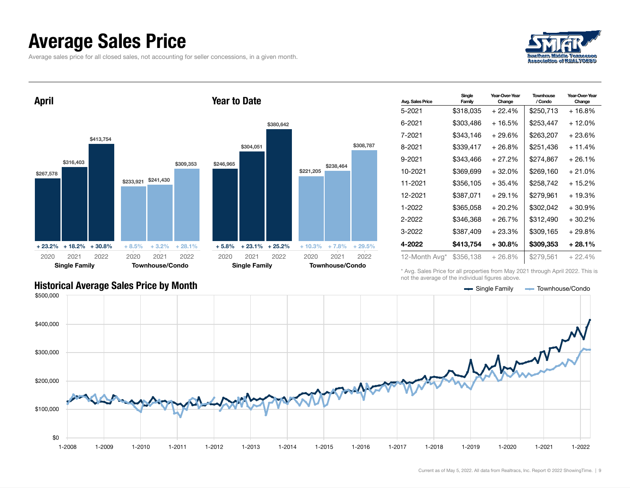#### Average Sales Price

Average sales price for all closed sales, not accounting for seller concessions, in a given month.





| Avg. Sales Price | Single<br>Family | Year-Over-Year<br>Change | Townhouse<br>/ Condo | Year-Over-Year<br>Change |
|------------------|------------------|--------------------------|----------------------|--------------------------|
| 5-2021           | \$318,035        | $+22.4%$                 | \$250,713            | + 16.8%                  |
| 6-2021           | \$303,486        | + 16.5%                  | \$253,447            | + 12.0%                  |
| 7-2021           | \$343,146        | + 29.6%                  | \$263,207            | + 23.6%                  |
| 8-2021           | \$339,417        | + 26.8%                  | \$251.436            | $+11.4%$                 |
| 9-2021           | \$343,466        | + 27.2%                  | \$274,867            | $+26.1%$                 |
| 10-2021          | \$369,699        | $+32.0%$                 | \$269,160            | $+21.0%$                 |
| 11-2021          | \$356.105        | $+35.4%$                 | \$258.742            | + 15.2%                  |
| 12-2021          | \$387,071        | $+29.1%$                 | \$279,961            | $+19.3%$                 |
| 1-2022           | \$365,058        | + 20.2%                  | \$302,042            | + 30.9%                  |
| 2-2022           | \$346,368        | + 26.7%                  | \$312,490            | $+30.2%$                 |
| $3 - 2022$       | \$387,409        | + 23.3%                  | \$309,165            | + 29.8%                  |
| 4-2022           | \$413,754        | $+30.8\%$                | \$309,353            | + 28.1%                  |
| 12-Month Avg*    | \$356,138        | $+26.8%$                 | \$279,561            | $+22.4%$                 |

\* Avg. Sales Price for all properties from May 2021 through April 2022. This is not the average of the individual figures above.



#### Historical Average Sales Price by Month Single Tax and Single Family Townhouse/Condo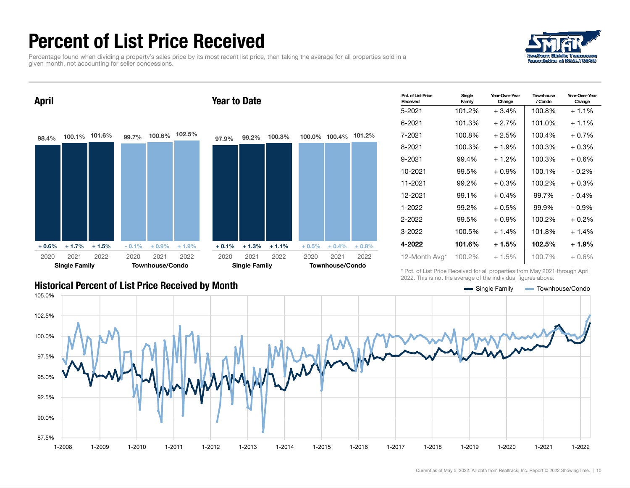### Percent of List Price Received

Percentage found when dividing a property's sales price by its most recent list price, then taking the average for all properties sold in a given month, not accounting for seller concessions.





| Pct. of List Price<br>Received | Single<br>Family | Year-Over-Year<br>Change | <b>Townhouse</b><br>/ Condo | Year-Over-Year<br>Change |
|--------------------------------|------------------|--------------------------|-----------------------------|--------------------------|
| 5-2021                         | 101.2%           | $+3.4%$                  | 100.8%                      |                          |
| 6-2021                         | 101.3%           | $+2.7%$                  | 101.0%                      | $+1.1\%$                 |
| 7-2021                         | 100.8%           | $+2.5%$                  | 100.4%                      | $+0.7%$                  |
| 8-2021                         | 100.3%           | $+1.9%$                  | 100.3%                      | $+0.3\%$                 |
| 9-2021                         | 99.4%            | $+1.2\%$                 | 100.3%                      | $+0.6%$                  |
| 10-2021                        | 99.5%            | $+0.9%$                  | 100.1%                      | $-0.2\%$                 |
| 11-2021                        | 99.2%            | $+0.3\%$                 | 100.2%                      | $+0.3\%$                 |
| 12-2021                        | 99.1%            | $+0.4%$                  | 99.7%                       | $-0.4%$                  |
| 1-2022                         | 99.2%            | $+0.5\%$                 | 99.9%                       | $-0.9\%$                 |
| 2-2022                         | 99.5%            | $+0.9\%$                 | 100.2%                      | $+0.2%$                  |
| 3-2022                         | 100.5%           | $+1.4%$                  | 101.8%                      | $+1.4%$                  |
| 4-2022                         | 101.6%           | $+1.5%$                  | 102.5%                      | $+1.9%$                  |
| 12-Month Avg*                  | 100.2%           | $+1.5%$                  | 100.7%                      | + 0.6%                   |

\* Pct. of List Price Received for all properties from May 2021 through April 2022. This is not the average of the individual figures above.

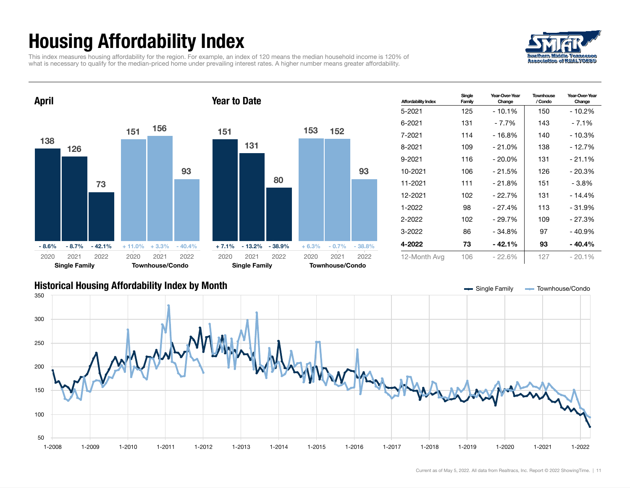## Housing Affordability Index

This index measures housing affordability for the region. For example, an index of 120 means the median household income is 120% of what is necessary to qualify for the median-priced home under prevailing interest rates. A higher number means greater affordability.





| <b>Affordability Index</b> | Single<br>Family | Year-Over-Year<br>Change | <b>Townhouse</b><br>/ Condo | Year-Over-Year<br>Change |
|----------------------------|------------------|--------------------------|-----------------------------|--------------------------|
| 5-2021                     | 125              | $-10.1%$                 | 150                         | - 10.2%                  |
| 6-2021                     | 131              | - 7.7%                   | 143                         | $-7.1\%$                 |
| 7-2021                     | 114              | - 16.8%                  | 140                         | - 10.3%                  |
| 8-2021                     | 109              | $-21.0%$                 | 138                         | - 12.7%                  |
| 9-2021                     | 116              | $-20.0\%$                | 131                         | $-21.1%$                 |
| 10-2021                    | 106              | - 21.5%                  | 126                         | - 20.3%                  |
| 11-2021                    | 111              | $-21.8%$                 | 151                         | $-3.8\%$                 |
| 12-2021                    | 102              | - 22.7%                  | 131                         | - 14.4%                  |
| 1-2022                     | 98               | $-27.4%$                 | 113                         | - 31.9%                  |
| 2-2022                     | 102              | $-29.7%$                 | 109                         | - 27.3%                  |
| 3-2022                     | 86               | - 34.8%                  | 97                          | - 40.9%                  |
| 4-2022                     | 73               | $-42.1%$                 | 93                          | - 40.4%                  |
| 12-Month Avg               | 106              | $-22.6%$                 | 127                         | $-20.1%$                 |

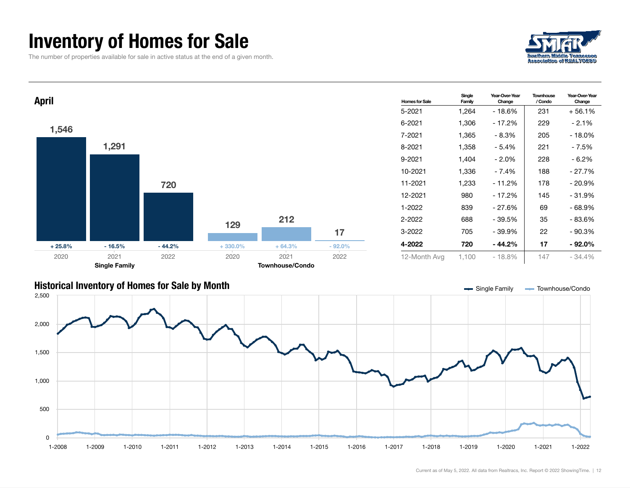#### Inventory of Homes for Sale

The number of properties available for sale in active status at the end of a given month.





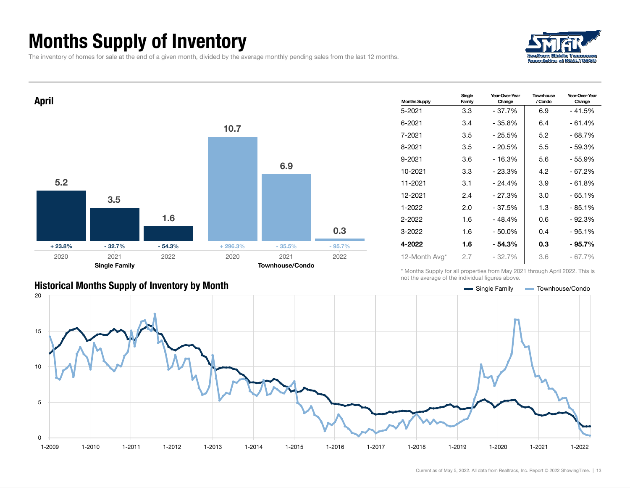### Months Supply of Inventory

The inventory of homes for sale at the end of a given month, divided by the average monthly pending sales from the last 12 months.





#### Single Family Year-Over-Year Change **Townhouse** / Condo Year-Over-Year Change 5-2021 3.3 - 37.7% 6.9 - 41.5% 6-2021 3.4 - 35.8% 6.4 - 61.4% 7-2021 3.5 - 25.5% 5.2 - 68.7% 8-2021 3.5 - 20.5% 5.5 - 59.3%  $9-2021$  3.6  $-16.3\%$  5.6  $-55.9\%$ 10-2021 3.3 - 23.3% 4.2 - 67.2% 11-2021 3.1 - 24.4% 3.9 - 61.8% 12-2021 2.4 - 27.3% 3.0 - 65.1% 1-2022 2.0 - 37.5% 1.3 - 85.1% 2-2022 1.6 - 48.4% 0.6 - 92.3% 3-2022 1.6 - 50.0% 0.4 - 95.1% 4-2022 1.6 - 54.3% 0.3 - 95.7% 12-Month Avg\* 2.7 - 32.7% 3.6 - 67.7%

\* Months Supply for all properties from May 2021 through April 2022. This is not the average of the individual figures above.